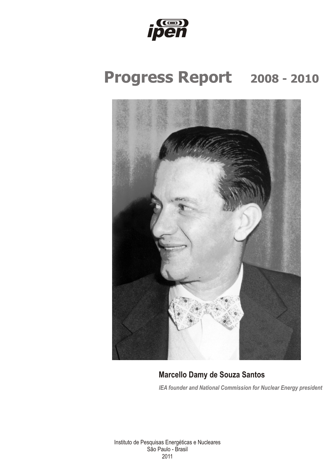

## **Progress Report 2008 - 2010**



 $\wedge$ r.tv}},  $Ur - GLv$ d,  $\wedge$ r dr $\in$ t t $mm$  $\angle$ *IRIN*  $\in$ uV.  $f \in U_1$ r $\downarrow$   $\in$ r $}$ III,  $\sim$   $\sim$   $\angle$ t $\downarrow$ z  $\in$ IN.  $1$ <sub>I</sub>  $\in$   $V$ .  $\angle$ III  $\downarrow$   $\in$   $I$ 

Et#t uvavt, artVev.x #rtV1 tyr.vt  $dy$ ,  $\arcsin 2x$ **CABB**